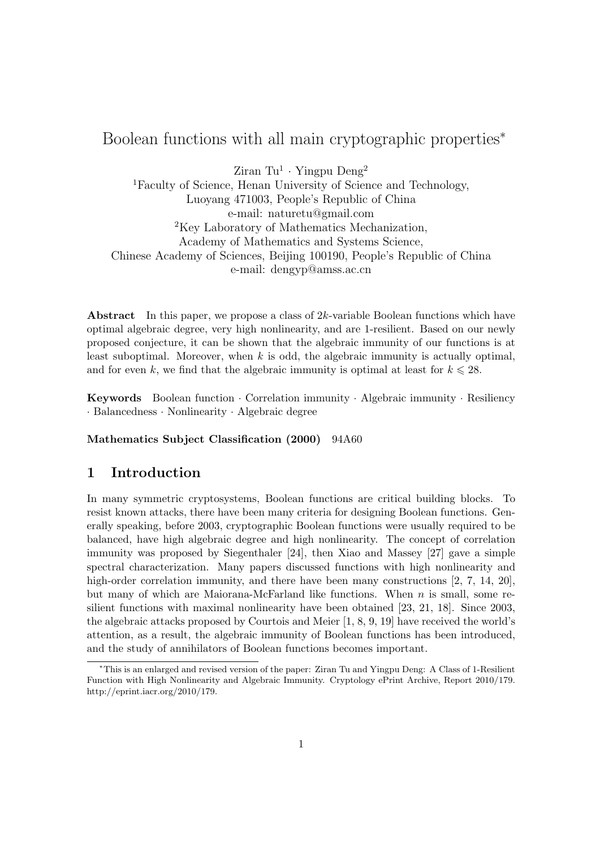# Boolean functions with all main cryptographic properties<sup>\*</sup>

 $Z$ iran Tu<sup>1</sup> · Yingpu Deng<sup>2</sup>

<sup>1</sup>Faculty of Science, Henan University of Science and Technology, Luoyang 471003, People's Republic of China e-mail: naturetu@gmail.com <sup>2</sup>Key Laboratory of Mathematics Mechanization, Academy of Mathematics and Systems Science, Chinese Academy of Sciences, Beijing 100190, People's Republic of China e-mail: dengyp@amss.ac.cn

**Abstract** In this paper, we propose a class of  $2k$ -variable Boolean functions which have optimal algebraic degree, very high nonlinearity, and are 1-resilient. Based on our newly proposed conjecture, it can be shown that the algebraic immunity of our functions is at least suboptimal. Moreover, when  $k$  is odd, the algebraic immunity is actually optimal, and for even k, we find that the algebraic immunity is optimal at least for  $k \leq 28$ .

Keywords Boolean function · Correlation immunity · Algebraic immunity · Resiliency · Balancedness · Nonlinearity · Algebraic degree

Mathematics Subject Classification (2000) 94A60

# 1 Introduction

In many symmetric cryptosystems, Boolean functions are critical building blocks. To resist known attacks, there have been many criteria for designing Boolean functions. Generally speaking, before 2003, cryptographic Boolean functions were usually required to be balanced, have high algebraic degree and high nonlinearity. The concept of correlation immunity was proposed by Siegenthaler [24], then Xiao and Massey [27] gave a simple spectral characterization. Many papers discussed functions with high nonlinearity and high-order correlation immunity, and there have been many constructions [2, 7, 14, 20], but many of which are Maiorana-McFarland like functions. When  $n$  is small, some resilient functions with maximal nonlinearity have been obtained [23, 21, 18]. Since 2003, the algebraic attacks proposed by Courtois and Meier [1, 8, 9, 19] have received the world's attention, as a result, the algebraic immunity of Boolean functions has been introduced, and the study of annihilators of Boolean functions becomes important.

<sup>∗</sup>This is an enlarged and revised version of the paper: Ziran Tu and Yingpu Deng: A Class of 1-Resilient Function with High Nonlinearity and Algebraic Immunity. Cryptology ePrint Archive, Report 2010/179. http://eprint.iacr.org/2010/179.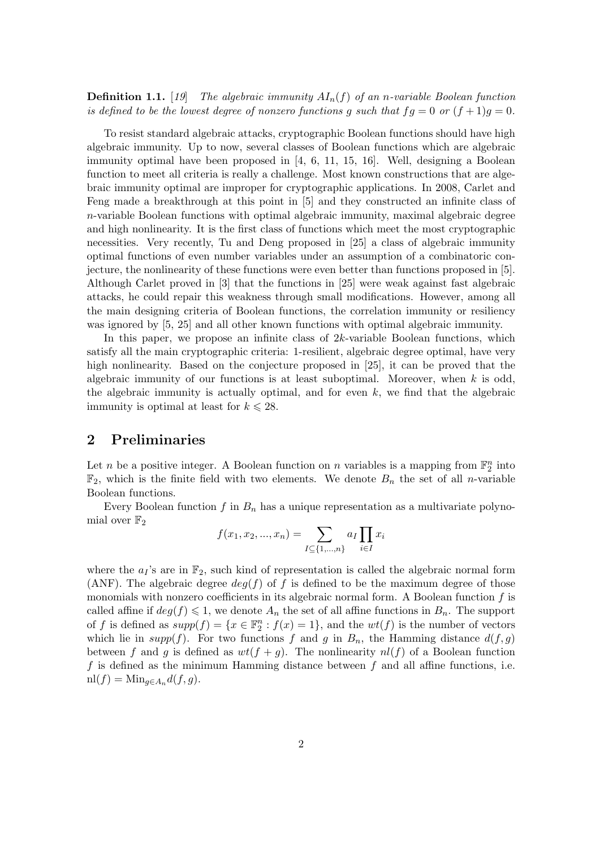**Definition 1.1.** [19] The algebraic immunity  $AI_n(f)$  of an n-variable Boolean function is defined to be the lowest degree of nonzero functions g such that  $fg = 0$  or  $(f + 1)g = 0$ .

To resist standard algebraic attacks, cryptographic Boolean functions should have high algebraic immunity. Up to now, several classes of Boolean functions which are algebraic immunity optimal have been proposed in [4, 6, 11, 15, 16]. Well, designing a Boolean function to meet all criteria is really a challenge. Most known constructions that are algebraic immunity optimal are improper for cryptographic applications. In 2008, Carlet and Feng made a breakthrough at this point in [5] and they constructed an infinite class of n-variable Boolean functions with optimal algebraic immunity, maximal algebraic degree and high nonlinearity. It is the first class of functions which meet the most cryptographic necessities. Very recently, Tu and Deng proposed in [25] a class of algebraic immunity optimal functions of even number variables under an assumption of a combinatoric conjecture, the nonlinearity of these functions were even better than functions proposed in [5]. Although Carlet proved in [3] that the functions in [25] were weak against fast algebraic attacks, he could repair this weakness through small modifications. However, among all the main designing criteria of Boolean functions, the correlation immunity or resiliency was ignored by [5, 25] and all other known functions with optimal algebraic immunity.

In this paper, we propose an infinite class of 2k-variable Boolean functions, which satisfy all the main cryptographic criteria: 1-resilient, algebraic degree optimal, have very high nonlinearity. Based on the conjecture proposed in [25], it can be proved that the algebraic immunity of our functions is at least suboptimal. Moreover, when  $k$  is odd, the algebraic immunity is actually optimal, and for even  $k$ , we find that the algebraic immunity is optimal at least for  $k \leq 28$ .

## 2 Preliminaries

Let n be a positive integer. A Boolean function on n variables is a mapping from  $\mathbb{F}_2^n$  into  $\mathbb{F}_2$ , which is the finite field with two elements. We denote  $B_n$  the set of all *n*-variable Boolean functions.

Every Boolean function f in  $B_n$  has a unique representation as a multivariate polynomial over  $\mathbb{F}_2$  $\mathbf{r}$ 

$$
f(x_1, x_2, ..., x_n) = \sum_{I \subseteq \{1, ..., n\}} a_I \prod_{i \in I} x_i
$$

where the  $a_1$ 's are in  $\mathbb{F}_2$ , such kind of representation is called the algebraic normal form (ANF). The algebraic degree  $deg(f)$  of f is defined to be the maximum degree of those monomials with nonzero coefficients in its algebraic normal form. A Boolean function  $f$  is called affine if  $deg(f) \leq 1$ , we denote  $A_n$  the set of all affine functions in  $B_n$ . The support of f is defined as  $supp(f) = \{x \in \mathbb{F}_2^n : f(x) = 1\}$ , and the  $wt(f)$  is the number of vectors which lie in  $supp(f)$ . For two functions f and g in  $B_n$ , the Hamming distance  $d(f, g)$ between f and g is defined as  $wt(f + g)$ . The nonlinearity  $nl(f)$  of a Boolean function  $f$  is defined as the minimum Hamming distance between  $f$  and all affine functions, i.e.  $n(f) = Min_{q \in A_n} d(f, g).$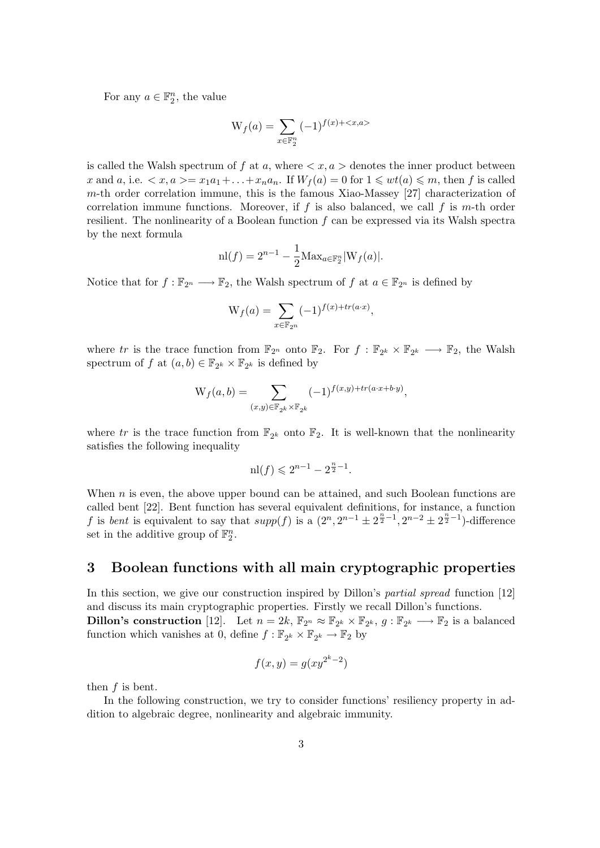For any  $a \in \mathbb{F}_2^n$ , the value

$$
W_f(a) = \sum_{x \in \mathbb{F}_2^n} (-1)^{f(x) + \langle x, a \rangle}
$$

is called the Walsh spectrum of f at a, where  $\langle x, a \rangle$  denotes the inner product between x and a, i.e.  $\langle x, a \rangle = x_1 a_1 + \ldots + x_n a_n$ . If  $W_f(a) = 0$  for  $1 \leqslant wt(a) \leqslant m$ , then f is called m-th order correlation immune, this is the famous Xiao-Massey [27] characterization of correlation immune functions. Moreover, if f is also balanced, we call f is m-th order resilient. The nonlinearity of a Boolean function f can be expressed via its Walsh spectra by the next formula

$$
\mathrm{nl}(f) = 2^{n-1} - \frac{1}{2} \mathrm{Max}_{a \in \mathbb{F}_2^n} |\mathbf{W}_f(a)|.
$$

Notice that for  $f : \mathbb{F}_{2^n} \longrightarrow \mathbb{F}_2$ , the Walsh spectrum of f at  $a \in \mathbb{F}_{2^n}$  is defined by

$$
W_f(a) = \sum_{x \in \mathbb{F}_{2^n}} (-1)^{f(x) + tr(a \cdot x)},
$$

where tr is the trace function from  $\mathbb{F}_{2^n}$  onto  $\mathbb{F}_2$ . For  $f : \mathbb{F}_{2^k} \times \mathbb{F}_{2^k} \longrightarrow \mathbb{F}_2$ , the Walsh spectrum of f at  $(a, b) \in \mathbb{F}_{2^k} \times \mathbb{F}_{2^k}$  is defined by

$$
W_f(a, b) = \sum_{(x,y) \in \mathbb{F}_{2^k} \times \mathbb{F}_{2^k}} (-1)^{f(x,y) + tr(a \cdot x + b \cdot y)},
$$

where tr is the trace function from  $\mathbb{F}_{2^k}$  onto  $\mathbb{F}_2$ . It is well-known that the nonlinearity satisfies the following inequality

$$
\mathrm{nl}(f) \leqslant 2^{n-1} - 2^{\frac{n}{2} - 1}.
$$

When  $n$  is even, the above upper bound can be attained, and such Boolean functions are called bent [22]. Bent function has several equivalent definitions, for instance, a function f is bent is equivalent to say that  $supp(f)$  is a  $(2^n, 2^{n-1} \pm 2^{\frac{n}{2}-1}, 2^{n-2} \pm 2^{\frac{n}{2}-1})$ -difference set in the additive group of  $\mathbb{F}_2^n$ .

### 3 Boolean functions with all main cryptographic properties

In this section, we give our construction inspired by Dillon's partial spread function [12] and discuss its main cryptographic properties. Firstly we recall Dillon's functions. **Dillon's construction** [12]. Let  $n = 2k$ ,  $\mathbb{F}_{2^n} \approx \mathbb{F}_{2^k} \times \mathbb{F}_{2^k}$ ,  $g: \mathbb{F}_{2^k} \longrightarrow \mathbb{F}_2$  is a balanced function which vanishes at 0, define  $f : \mathbb{F}_{2^k} \times \mathbb{F}_{2^k} \to \mathbb{F}_2$  by

$$
f(x,y) = g(xy^{2^k - 2})
$$

then  $f$  is bent.

In the following construction, we try to consider functions' resiliency property in addition to algebraic degree, nonlinearity and algebraic immunity.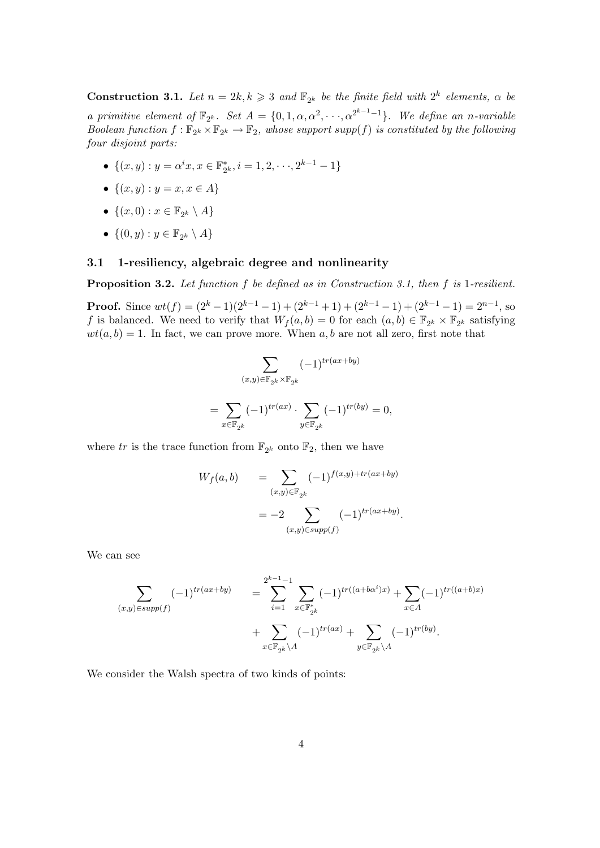**Construction 3.1.** Let  $n = 2k, k \geq 3$  and  $\mathbb{F}_{2^k}$  be the finite field with  $2^k$  elements,  $\alpha$  be a primitive element of  $\mathbb{F}_{2^k}$ . Set  $A = \{0, 1, \alpha, \alpha^2, \cdots, \alpha^{2^{k-1}-1}\}$ . We define an n-variable Boolean function  $f: \mathbb{F}_{2^k} \times \mathbb{F}_{2^k} \to \mathbb{F}_2$ , whose support supp(f) is constituted by the following four disjoint parts:

- $\{(x,y): y = \alpha^i x, x \in \mathbb{F}_2^*\}$  $z_k^*, i = 1, 2, \dots, 2^{k-1} - 1$
- $\{(x, y) : y = x, x \in A\}$
- $\{(x,0):x\in\mathbb{F}_{2^k}\setminus A\}$
- $\bullet \ \{ (0,y) : y \in \mathbb{F}_{2^k} \setminus A \}$

#### 3.1 1-resiliency, algebraic degree and nonlinearity

Proposition 3.2. Let function f be defined as in Construction 3.1, then f is 1-resilient.

**Proof.** Since  $wt(f) = (2^k - 1)(2^{k-1} - 1) + (2^{k-1} + 1) + (2^{k-1} - 1) + (2^{k-1} - 1) = 2^{n-1}$ , so f is balanced. We need to verify that  $W_f(a, b) = 0$  for each  $(a, b) \in \mathbb{F}_{2^k} \times \mathbb{F}_{2^k}$  satisfying  $wt(a, b) = 1$ . In fact, we can prove more. When a, b are not all zero, first note that

$$
\sum_{(x,y)\in \mathbb{F}_{2^k}\times \mathbb{F}_{2^k}} (-1)^{tr(ax+by)} \\
= \sum_{x\in \mathbb{F}_{2^k}} (-1)^{tr(ax)} \cdot \sum_{y\in \mathbb{F}_{2^k}} (-1)^{tr(by)} = 0,
$$

where tr is the trace function from  $\mathbb{F}_{2^k}$  onto  $\mathbb{F}_2$ , then we have

$$
W_f(a, b) = \sum_{(x,y)\in \mathbb{F}_{2^k}} (-1)^{f(x,y) + tr(ax+by)} = -2 \sum_{(x,y)\in supp(f)} (-1)^{tr(ax+by)}.
$$

We can see

$$
\sum_{(x,y)\in supp(f)} (-1)^{tr(ax+by)} = \sum_{i=1}^{2^{k-1}-1} \sum_{x\in \mathbb{F}_{2^k}^*} (-1)^{tr((a+b\alpha^i)x)} + \sum_{x\in A} (-1)^{tr((a+b)x)} + \sum_{x\in \mathbb{F}_{2^k} \setminus A} (-1)^{tr(by)}.
$$

We consider the Walsh spectra of two kinds of points: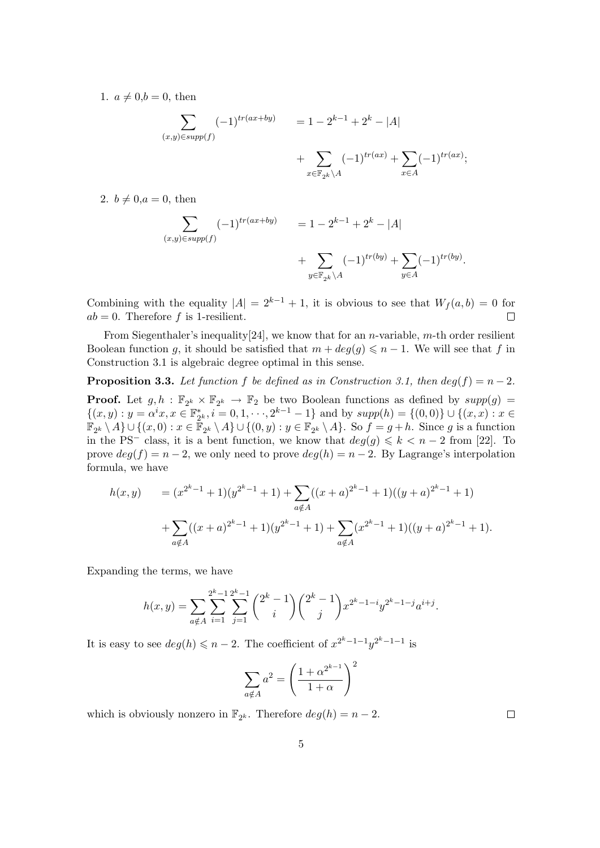1.  $a \neq 0, b = 0$ , then

$$
\sum_{(x,y)\in supp(f)} (-1)^{tr(ax+by)} = 1 - 2^{k-1} + 2^k - |A| + \sum_{x\in \mathbb{F}_{2^k} \backslash A} (-1)^{tr(ax)} + \sum_{x\in A} (-1)^{tr(ax)};
$$

2.  $b \neq 0, a = 0$ , then

$$
\sum_{(x,y)\in supp(f)} (-1)^{tr(ax+by)} = 1 - 2^{k-1} + 2^k - |A| + \sum_{y\in \mathbb{F}_{2^k} \setminus A} (-1)^{tr(by)} + \sum_{y\in A} (-1)^{tr(by)}.
$$

Combining with the equality  $|A| = 2^{k-1} + 1$ , it is obvious to see that  $W_f(a, b) = 0$  for  $ab = 0$ . Therefore f is 1-resilient.  $\Box$ 

From Siegenthaler's inequality [24], we know that for an *n*-variable,  $m$ -th order resilient Boolean function g, it should be satisfied that  $m + deg(g) \leq n - 1$ . We will see that f in Construction 3.1 is algebraic degree optimal in this sense.

**Proposition 3.3.** Let function f be defined as in Construction 3.1, then  $deg(f) = n - 2$ .

**Proof.** Let  $g, h : \mathbb{F}_{2^k} \times \mathbb{F}_{2^k} \to \mathbb{F}_2$  be two Boolean functions as defined by  $supp(g)$  =  $\{(x,y): y = \alpha^i x, x \in \mathbb{F}_2^*\}$  $z_2^*, i = 0, 1, \dots, 2^{k-1} - 1$  and by  $supp(h) = \{(0, 0)\} \cup \{(x, x) : x \in$  $\mathbb{F}_{2^k} \setminus A$   $\cup$   $\{(x, 0) : x \in \mathbb{F}_{2^k} \setminus A\} \cup \{(0, y) : y \in \mathbb{F}_{2^k} \setminus A\}$ . So  $f = g + h$ . Since g is a function in the PS<sup>-</sup> class, it is a bent function, we know that  $deg(g) \leq k < n-2$  from [22]. To prove  $deg(f) = n - 2$ , we only need to prove  $deg(h) = n - 2$ . By Lagrange's interpolation formula, we have

$$
h(x,y) = (x^{2^k - 1} + 1)(y^{2^k - 1} + 1) + \sum_{a \notin A} ((x + a)^{2^k - 1} + 1)((y + a)^{2^k - 1} + 1)
$$
  
+ 
$$
\sum_{a \notin A} ((x + a)^{2^k - 1} + 1)(y^{2^k - 1} + 1) + \sum_{a \notin A} (x^{2^k - 1} + 1)((y + a)^{2^k - 1} + 1).
$$

Expanding the terms, we have

$$
h(x,y) = \sum_{a \notin A} \sum_{i=1}^{2^k - 1} \sum_{j=1}^{2^k - 1} {2^k - 1 \choose i} {2^k - 1 \choose j} x^{2^k - 1 - i} y^{2^k - 1 - j} a^{i + j}.
$$

It is easy to see  $deg(h) \leq n-2$ . The coefficient of  $x^{2^k-1-1}y^{2^k-1-1}$  is

$$
\sum_{a \notin A} a^2 = \left(\frac{1 + \alpha^{2^{k-1}}}{1 + \alpha}\right)^2
$$

which is obviously nonzero in  $\mathbb{F}_{2^k}$ . Therefore  $deg(h) = n - 2$ .

 $\Box$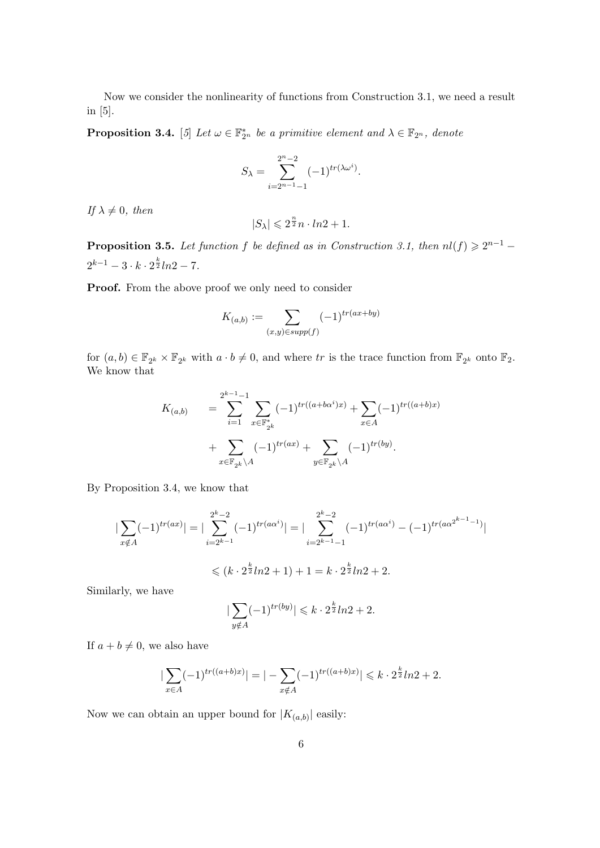Now we consider the nonlinearity of functions from Construction 3.1, we need a result in [5].

**Proposition 3.4.** [5] Let  $\omega \in \mathbb{F}_{2^n}^*$  be a primitive element and  $\lambda \in \mathbb{F}_{2^n}$ , denote

$$
S_{\lambda} = \sum_{i=2^{n-1}-1}^{2^n-2} (-1)^{tr(\lambda \omega^i)}.
$$

If  $\lambda \neq 0$ , then

$$
|S_{\lambda}| \leqslant 2^{\frac{n}{2}}n \cdot \ln 2 + 1.
$$

**Proposition 3.5.** Let function f be defined as in Construction 3.1, then  $nl(f) \geq 2^{n-1}$  $2^{k-1} - 3 \cdot k \cdot 2^{\frac{k}{2}} ln 2 - 7.$ 

Proof. From the above proof we only need to consider

$$
K_{(a,b)} := \sum_{(x,y)\in supp(f)} (-1)^{tr(ax+by)}
$$

for  $(a, b) \in \mathbb{F}_{2^k} \times \mathbb{F}_{2^k}$  with  $a \cdot b \neq 0$ , and where tr is the trace function from  $\mathbb{F}_{2^k}$  onto  $\mathbb{F}_2$ . We know that

$$
K_{(a,b)} = \sum_{i=1}^{2^{k-1}-1} \sum_{x \in \mathbb{F}_{2^k}^*} (-1)^{tr((a+b\alpha^i)x)} + \sum_{x \in A} (-1)^{tr((a+b)x)} + \sum_{x \in \mathbb{F}_{2^k} \backslash A} (-1)^{tr(by)}.
$$

By Proposition 3.4, we know that

$$
\left| \sum_{x \notin A} (-1)^{tr(ax)} \right| = \left| \sum_{i=2^{k-1}}^{2^k - 2} (-1)^{tr(a\alpha^i)} \right| = \left| \sum_{i=2^{k-1}-1}^{2^k - 2} (-1)^{tr(a\alpha^i)} - (-1)^{tr(a\alpha^{2^{k-1}-1})} \right|
$$

$$
\leq (k \cdot 2^{\frac{k}{2}} ln 2 + 1) + 1 = k \cdot 2^{\frac{k}{2}} ln 2 + 2.
$$

Similarly, we have

$$
|\sum_{y \notin A} (-1)^{tr(by)}| \leq k \cdot 2^{\frac{k}{2}} ln 2 + 2.
$$

If  $a + b \neq 0$ , we also have

$$
\left|\sum_{x \in A} (-1)^{tr((a+b)x)}\right| = \left|-\sum_{x \notin A} (-1)^{tr((a+b)x)}\right| \leq k \cdot 2^{\frac{k}{2}} ln 2 + 2.
$$

Now we can obtain an upper bound for  $|K_{(a,b)}|$  easily: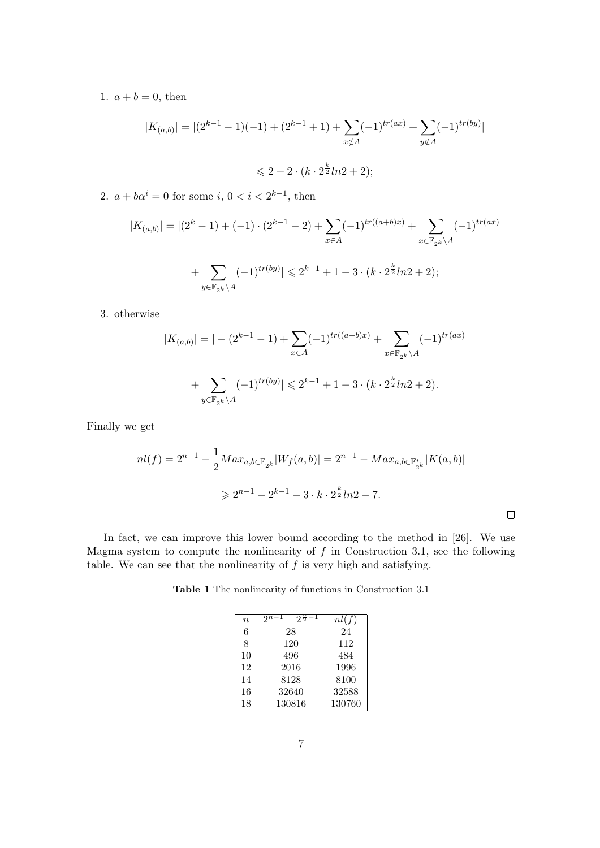1.  $a + b = 0$ , then

$$
|K_{(a,b)}| = |(2^{k-1} - 1)(-1) + (2^{k-1} + 1) + \sum_{x \notin A} (-1)^{tr(ax)} + \sum_{y \notin A} (-1)^{tr(by)}|
$$
  
\$\leq 2 + 2 \cdot (k \cdot 2^{\frac{k}{2}} ln 2 + 2);

2.  $a + b\alpha^{i} = 0$  for some  $i, 0 < i < 2^{k-1}$ , then

$$
|K_{(a,b)}| = |(2^k - 1) + (-1) \cdot (2^{k-1} - 2) + \sum_{x \in A} (-1)^{tr((a+b)x)} + \sum_{x \in \mathbb{F}_{2^k} \backslash A} (-1)^{tr(ax)} + \sum_{y \in \mathbb{F}_{2^k} \backslash A} (-1)^{tr(by)}| \leq 2^{k-1} + 1 + 3 \cdot (k \cdot 2^{\frac{k}{2}} ln 2 + 2);
$$

3. otherwise

$$
|K_{(a,b)}| = |-(2^{k-1}-1) + \sum_{x \in A} (-1)^{tr((a+b)x)} + \sum_{x \in \mathbb{F}_{2^k} \backslash A} (-1)^{tr(ax)}
$$
  
+ 
$$
\sum_{y \in \mathbb{F}_{2^k} \backslash A} (-1)^{tr(by)}| \leq 2^{k-1} + 1 + 3 \cdot (k \cdot 2^{\frac{k}{2}} ln 2 + 2).
$$

Finally we get

$$
nl(f) = 2^{n-1} - \frac{1}{2} Max_{a,b \in \mathbb{F}_{2^k}} |W_f(a,b)| = 2^{n-1} - Max_{a,b \in \mathbb{F}_{2^k}^*} |K(a,b)|
$$
  

$$
\geq 2^{n-1} - 2^{k-1} - 3 \cdot k \cdot 2^{\frac{k}{2}} ln 2 - 7.
$$

 $\Box$ 

In fact, we can improve this lower bound according to the method in [26]. We use Magma system to compute the nonlinearity of  $f$  in Construction 3.1, see the following table. We can see that the nonlinearity of  $f$  is very high and satisfying.

Table 1 The nonlinearity of functions in Construction 3.1

| $\eta$ | $-2^{\frac{n}{2}}$<br>$2^{n-1}$ | nl(f)  |
|--------|---------------------------------|--------|
| 6      | 28                              | 24     |
| 8      | 120                             | 112    |
| 10     | 496                             | 484    |
| 12     | 2016                            | 1996   |
| 14     | 8128                            | 8100   |
| 16     | 32640                           | 32588  |
| 18     | 130816                          | 130760 |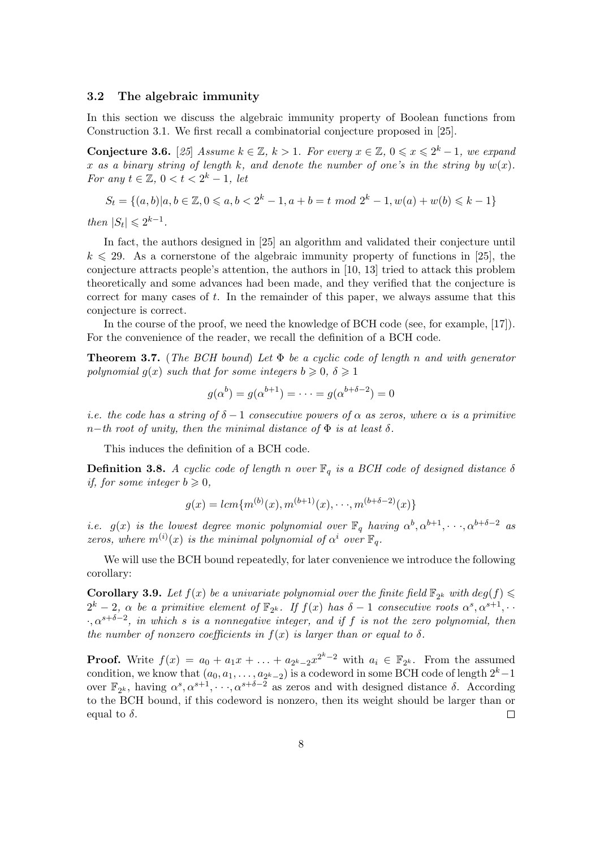#### 3.2 The algebraic immunity

In this section we discuss the algebraic immunity property of Boolean functions from Construction 3.1. We first recall a combinatorial conjecture proposed in [25].

**Conjecture 3.6.** [25] Assume  $k \in \mathbb{Z}$ ,  $k > 1$ . For every  $x \in \mathbb{Z}$ ,  $0 \leq x \leq 2^k - 1$ , we expand x as a binary string of length k, and denote the number of one's in the string by  $w(x)$ . For any  $t \in \mathbb{Z}$ ,  $0 < t < 2^k - 1$ , let

$$
S_t = \{(a, b) | a, b \in \mathbb{Z}, 0 \leq a, b < 2^k - 1, a + b = t \mod 2^k - 1, w(a) + w(b) \leq k - 1\}
$$

then  $|S_t| \leq 2^{k-1}$ .

In fact, the authors designed in [25] an algorithm and validated their conjecture until  $k \leq 29$ . As a cornerstone of the algebraic immunity property of functions in [25], the conjecture attracts people's attention, the authors in [10, 13] tried to attack this problem theoretically and some advances had been made, and they verified that the conjecture is correct for many cases of  $t$ . In the remainder of this paper, we always assume that this conjecture is correct.

In the course of the proof, we need the knowledge of BCH code (see, for example, [17]). For the convenience of the reader, we recall the definition of a BCH code.

**Theorem 3.7.** (The BCH bound) Let  $\Phi$  be a cyclic code of length n and with generator polynomial  $q(x)$  such that for some integers  $b \ge 0$ ,  $\delta \ge 1$ 

$$
g(\alpha^b) = g(\alpha^{b+1}) = \cdots = g(\alpha^{b+\delta-2}) = 0
$$

i.e. the code has a string of  $\delta - 1$  consecutive powers of  $\alpha$  as zeros, where  $\alpha$  is a primitive n−th root of unity, then the minimal distance of  $\Phi$  is at least  $\delta$ .

This induces the definition of a BCH code.

**Definition 3.8.** A cyclic code of length n over  $\mathbb{F}_q$  is a BCH code of designed distance  $\delta$ if, for some integer  $b \geq 0$ ,

$$
g(x) = lcm{m^{(b)}(x), m^{(b+1)}(x), \cdots, m^{(b+\delta-2)}(x)}
$$

*i.e.*  $g(x)$  is the lowest degree monic polynomial over  $\mathbb{F}_q$  having  $\alpha^b, \alpha^{b+1}, \dots, \alpha^{b+\delta-2}$  as zeros, where  $m^{(i)}(x)$  is the minimal polynomial of  $\alpha^i$  over  $\mathbb{F}_q$ .

We will use the BCH bound repeatedly, for later convenience we introduce the following corollary:

**Corollary 3.9.** Let  $f(x)$  be a univariate polynomial over the finite field  $\mathbb{F}_{2^k}$  with  $deg(f)$  $2^k-2$ ,  $\alpha$  be a primitive element of  $\mathbb{F}_{2^k}$ . If  $f(x)$  has  $\delta-1$  consecutive roots  $\alpha^s, \alpha^{s+1}, \cdots$  $\cdot, \alpha^{s+\delta-2}$ , in which s is a nonnegative integer, and if f is not the zero polynomial, then the number of nonzero coefficients in  $f(x)$  is larger than or equal to  $\delta$ .

**Proof.** Write  $f(x) = a_0 + a_1x + \ldots + a_{2^k-2}x^{2^k-2}$  with  $a_i \in \mathbb{F}_{2^k}$ . From the assumed condition, we know that  $(a_0, a_1, \ldots, a_{2^k-2})$  is a codeword in some BCH code of length  $2^k-1$ over  $\mathbb{F}_{2^k}$ , having  $\alpha^s, \alpha^{s+1}, \dots, \alpha^{s+\delta-2}$  as zeros and with designed distance  $\delta$ . According to the BCH bound, if this codeword is nonzero, then its weight should be larger than or equal to  $\delta$ .  $\Box$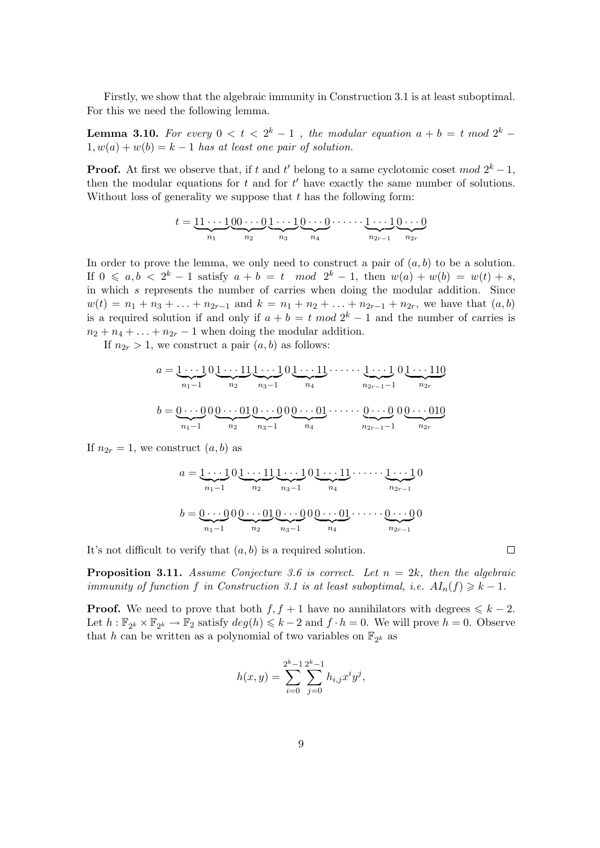Firstly, we show that the algebraic immunity in Construction 3.1 is at least suboptimal. For this we need the following lemma.

**Lemma 3.10.** For every  $0 < t < 2<sup>k</sup> - 1$ , the modular equation  $a + b = t$  mod  $2<sup>k</sup> - 1$  $1, w(a) + w(b) = k - 1$  has at least one pair of solution.

**Proof.** At first we observe that, if t and t' belong to a same cyclotomic coset  $mod 2^k - 1$ , then the modular equations for  $t$  and for  $t'$  have exactly the same number of solutions. Without loss of generality we suppose that  $t$  has the following form:

$$
t = \underbrace{11\cdots 1}_{n_1}\underbrace{00\cdots 0}_{n_2}\underbrace{1\cdots 1}_{n_3}\underbrace{0\cdots 0}_{n_4}\cdots \underbrace{1\cdots 1}_{n_{2r-1}}\underbrace{0\cdots 0}_{n_{2r}}
$$

In order to prove the lemma, we only need to construct a pair of  $(a, b)$  to be a solution. If  $0 \leq a, b \leq 2^k - 1$  satisfy  $a + b = t \mod 2^k - 1$ , then  $w(a) + w(b) = w(t) + s$ , in which s represents the number of carries when doing the modular addition. Since  $w(t) = n_1 + n_3 + \ldots + n_{2r-1}$  and  $k = n_1 + n_2 + \ldots + n_{2r-1} + n_{2r}$ , we have that  $(a, b)$ is a required solution if and only if  $a + b = t \mod 2^k - 1$  and the number of carries is  $n_2 + n_4 + \ldots + n_{2r} - 1$  when doing the modular addition.

If  $n_{2r} > 1$ , we construct a pair  $(a, b)$  as follows:

$$
a = \underbrace{1 \cdots 1}_{n_1-1} 0 \underbrace{1 \cdots 11}_{n_2} \underbrace{1 \cdots 1}_{n_3-1} 0 \underbrace{1 \cdots 11}_{n_4} \cdots \underbrace{1 \cdots 1}_{n_{2r-1}-1} 0 \underbrace{1 \cdots 110}_{n_{2r}}
$$

$$
b = \underbrace{0 \cdots 0}_{n_1-1} 0 \underbrace{0 \cdots 01}_{n_2} \underbrace{0 \cdots 01}_{n_3-1} \cdots \underbrace{0 \cdots 01}_{n_4} \cdots \underbrace{0 \cdots 01}_{n_{2r-1}-1} 0 \underbrace{0 \cdots 010}_{n_{2r}}
$$

If  $n_{2r} = 1$ , we construct  $(a, b)$  as

$$
a = \underbrace{1 \cdots 1}_{n_1-1} 0 \underbrace{1 \cdots 11}_{n_2} \underbrace{1 \cdots 1}_{n_3-1} 0 \underbrace{1 \cdots 11}_{n_4} \cdots \underbrace{1 \cdots 1}_{n_{2r-1}} 0
$$
  

$$
b = \underbrace{0 \cdots 0}_{n_1-1} 0 \underbrace{0 \cdots 01}_{n_2} \underbrace{0 \cdots 0}_{n_3-1} 0 \underbrace{0 \cdots 01}_{n_4} \cdots \underbrace{0 \cdots 0}_{n_{2r-1}} 0
$$

It's not difficult to verify that  $(a, b)$  is a required solution.

**Proposition 3.11.** Assume Conjecture 3.6 is correct. Let  $n = 2k$ , then the algebraic immunity of function f in Construction 3.1 is at least suboptimal, i.e.  $AI_n(f) \geq k - 1$ .

**Proof.** We need to prove that both  $f, f + 1$  have no annihilators with degrees  $\leq k - 2$ . Let  $h: \mathbb{F}_{2^k} \times \mathbb{F}_{2^k} \to \mathbb{F}_2$  satisfy  $deg(h) \leq k-2$  and  $f \cdot h = 0$ . We will prove  $h = 0$ . Observe that h can be written as a polynomial of two variables on  $\mathbb{F}_{2^k}$  as

$$
h(x,y) = \sum_{i=0}^{2^{k}-1} \sum_{j=0}^{2^{k}-1} h_{i,j} x^{i} y^{j},
$$

 $\Box$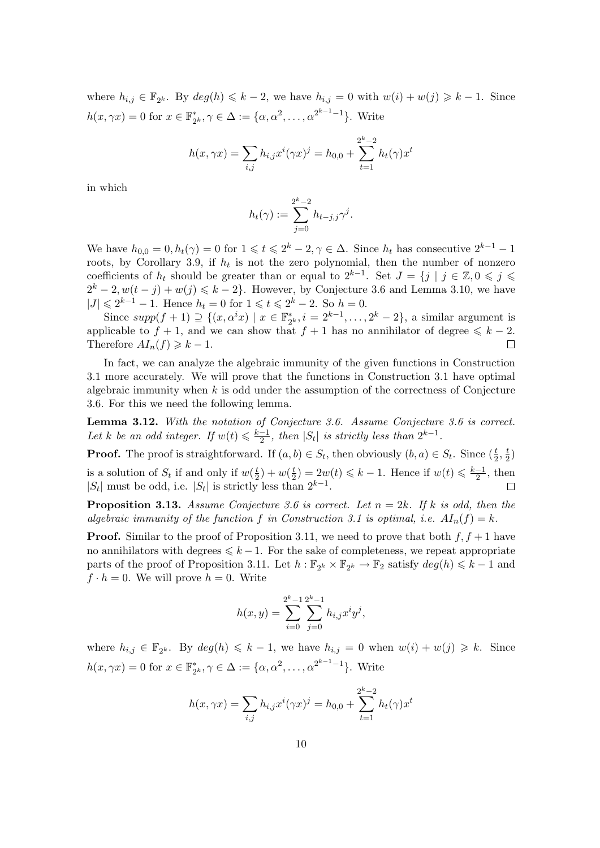where  $h_{i,j} \in \mathbb{F}_{2^k}$ . By  $deg(h) \leq k-2$ , we have  $h_{i,j} = 0$  with  $w(i) + w(j) \geq k-1$ . Since  $h(x, \gamma x) = 0$  for  $x \in \mathbb{F}_2^*$  $C_{2^{k}}^{*}, \gamma \in \Delta := \{\alpha, \alpha^{2}, \ldots, \alpha^{2^{k-1}-1}\}.$  Write

$$
h(x, \gamma x) = \sum_{i,j} h_{i,j} x^{i} (\gamma x)^{j} = h_{0,0} + \sum_{t=1}^{2^{k}-2} h_{t}(\gamma) x^{t}
$$

in which

$$
h_t(\gamma) := \sum_{j=0}^{2^k-2} h_{t-j,j} \gamma^j.
$$

We have  $h_{0,0} = 0, h_t(\gamma) = 0$  for  $1 \leq t \leq 2^k - 2, \gamma \in \Delta$ . Since  $h_t$  has consecutive  $2^{k-1} - 1$ roots, by Corollary 3.9, if  $h_t$  is not the zero polynomial, then the number of nonzero coefficients of  $h_t$  should be greater than or equal to  $2^{k-1}$ . Set  $J = \{j \mid j \in \mathbb{Z}, 0 \leqslant j \leqslant \mathbb{Z}\}$  $2^k - 2$ ,  $w(t - j) + w(j) \leq k - 2$ . However, by Conjecture 3.6 and Lemma 3.10, we have  $|J| \leq 2^{k-1} - 1$ . Hence  $h_t = 0$  for  $1 \leq t \leq 2^k - 2$ . So  $h = 0$ .

Since  $supp(f + 1) \supseteq \{(x, \alpha^i x) \mid x \in \mathbb{F}_2^*\}$  $a_{2^k}^*, i = 2^{k-1}, \ldots, 2^k - 2$ , a similar argument is applicable to  $f + 1$ , and we can show that  $f + 1$  has no annihilator of degree  $\leq k - 2$ . Therefore  $AI_n(f) \geq k-1$ .  $\Box$ 

In fact, we can analyze the algebraic immunity of the given functions in Construction 3.1 more accurately. We will prove that the functions in Construction 3.1 have optimal algebraic immunity when  $k$  is odd under the assumption of the correctness of Conjecture 3.6. For this we need the following lemma.

Lemma 3.12. With the notation of Conjecture 3.6. Assume Conjecture 3.6 is correct. Let k be an odd integer. If  $w(t) \leq \frac{k-1}{2}$  $\frac{-1}{2}$ , then |S<sub>t</sub>| is strictly less than  $2^{k-1}$ .

**Proof.** The proof is straightforward. If  $(a, b) \in S_t$ , then obviously  $(b, a) \in S_t$ . Since  $(\frac{t}{2}, \frac{t}{2})$  $\frac{t}{2}$ is a solution of  $S_t$  if and only if  $w(\frac{t}{2})$  $(\frac{t}{2}) + w(\frac{t}{2})$  $(\frac{t}{2}) = 2w(t) \leq k - 1$ . Hence if  $w(t) \leq \frac{k-1}{2}$  $\frac{-1}{2}$ , then  $|S_t|$  must be odd, i.e.  $|S_t|$  is strictly less than  $2^{k-1}$ .

**Proposition 3.13.** Assume Conjecture 3.6 is correct. Let  $n = 2k$ . If k is odd, then the algebraic immunity of the function f in Construction 3.1 is optimal, i.e.  $AI_n(f) = k$ .

**Proof.** Similar to the proof of Proposition 3.11, we need to prove that both  $f, f + 1$  have no annihilators with degrees  $\leq k - 1$ . For the sake of completeness, we repeat appropriate parts of the proof of Proposition 3.11. Let  $h : \mathbb{F}_{2^k} \times \mathbb{F}_{2^k} \to \mathbb{F}_2$  satisfy  $deg(h) \leq k - 1$  and  $f \cdot h = 0$ . We will prove  $h = 0$ . Write

$$
h(x,y) = \sum_{i=0}^{2^{k}-1} \sum_{j=0}^{2^{k}-1} h_{i,j} x^{i} y^{j},
$$

where  $h_{i,j} \in \mathbb{F}_{2^k}$ . By  $deg(h) \leq k-1$ , we have  $h_{i,j} = 0$  when  $w(i) + w(j) \geq k$ . Since  $h(x, \gamma x) = 0$  for  $x \in \mathbb{F}_2^*$  $C_{2^k}^*, \gamma \in \Delta := \{ \alpha, \alpha^2, \dots, \alpha^{2^{k-1}-1} \}.$  Write

$$
h(x, \gamma x) = \sum_{i,j} h_{i,j} x^{i} (\gamma x)^{j} = h_{0,0} + \sum_{t=1}^{2^{k}-2} h_{t}(\gamma) x^{t}
$$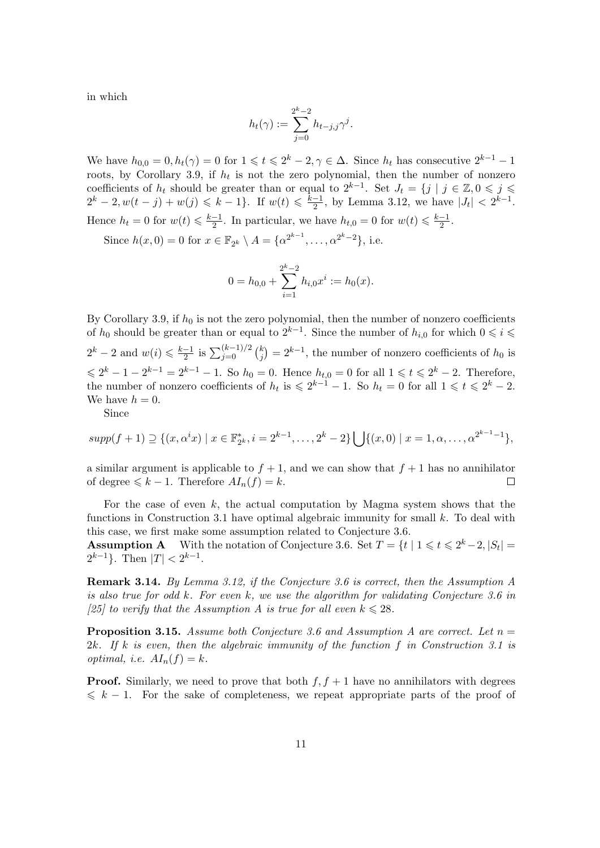in which

$$
h_t(\gamma) := \sum_{j=0}^{2^k-2} h_{t-j,j} \gamma^j.
$$

We have  $h_{0,0} = 0, h_t(\gamma) = 0$  for  $1 \leq t \leq 2^k - 2, \gamma \in \Delta$ . Since  $h_t$  has consecutive  $2^{k-1} - 1$ roots, by Corollary 3.9, if  $h_t$  is not the zero polynomial, then the number of nonzero coefficients of  $h_t$  should be greater than or equal to  $2^{k-1}$ . Set  $J_t = \{j \mid j \in \mathbb{Z}, 0 \leqslant j \leqslant \mathbb{Z}\}$  $2^k - 2, w(t - j) + w(j) \leq k - 1$ . If  $w(t) \leq \frac{k-1}{2}$  $\frac{-1}{2}$ , by Lemma 3.12, we have  $|J_t| < 2^{k-1}$ . Hence  $h_t = 0$  for  $w(t) \leq \frac{k-1}{2}$  $\frac{-1}{2}$ . In particular, we have  $h_{t,0} = 0$  for  $w(t) \leq \frac{k-1}{2}$  $\frac{-1}{2}$ .

Since  $h(x, 0) = 0$  for  $x \in \mathbb{F}_{2^k} \setminus A = \{ \alpha^{2^{k-1}}, \dots, \alpha^{2^k-2} \},$  i.e.

$$
0 = h_{0,0} + \sum_{i=1}^{2^k - 2} h_{i,0} x^i := h_0(x).
$$

By Corollary 3.9, if  $h_0$  is not the zero polynomial, then the number of nonzero coefficients of  $h_0$  should be greater than or equal to  $2^{k-1}$ . Since the number of  $h_{i,0}$  for which  $0 \leqslant i \leqslant$  $2^k - 2$  and  $w(i) \leqslant \frac{k-1}{2}$  $\frac{-1}{2}$  is  $\sum_{j=0}^{(k-1)/2} {k \choose j}$ j  $= 2^{k-1}$ , the number of nonzero coefficients of  $h_0$  is  $\leq 2^{k} - 1 - 2^{k-1} = 2^{k-1} - 1$ . So  $h_0 = 0$ . Hence  $h_{t,0} = 0$  for all  $1 \leq t \leq 2^{k} - 2$ . Therefore, the number of nonzero coefficients of  $h_t$  is  $\leq 2^{k-1} - 1$ . So  $h_t = 0$  for all  $1 \leq t \leq 2^k - 2$ . We have  $h = 0$ .

Since

$$
supp(f+1) \supseteq \{(x,\alpha^i x) \mid x \in \mathbb{F}_{2^k}^*, i = 2^{k-1}, \dots, 2^k - 2\} \bigcup \{(x,0) \mid x = 1, \alpha, \dots, \alpha^{2^{k-1}-1}\},
$$

a similar argument is applicable to  $f + 1$ , and we can show that  $f + 1$  has no annihilator of degree  $\leq k - 1$ . Therefore  $AI_n(f) = k$ .  $\Box$ 

For the case of even  $k$ , the actual computation by Magma system shows that the functions in Construction 3.1 have optimal algebraic immunity for small k. To deal with this case, we first make some assumption related to Conjecture 3.6.

**Assumption A** With the notation of Conjecture 3.6. Set  $T = \{t \mid 1 \leq t \leq 2^k-2, |S_t| = 1\}$  $2^{k-1}$ . Then  $|T| < 2^{k-1}$ .

Remark 3.14. By Lemma 3.12, if the Conjecture 3.6 is correct, then the Assumption A is also true for odd k. For even k, we use the algorithm for validating Conjecture 3.6 in [25] to verify that the Assumption A is true for all even  $k \leq 28$ .

**Proposition 3.15.** Assume both Conjecture 3.6 and Assumption A are correct. Let  $n =$ 2k. If k is even, then the algebraic immunity of the function f in Construction 3.1 is optimal, i.e.  $AI_n(f) = k$ .

**Proof.** Similarly, we need to prove that both  $f, f + 1$  have no annihilators with degrees  $\leq k - 1$ . For the sake of completeness, we repeat appropriate parts of the proof of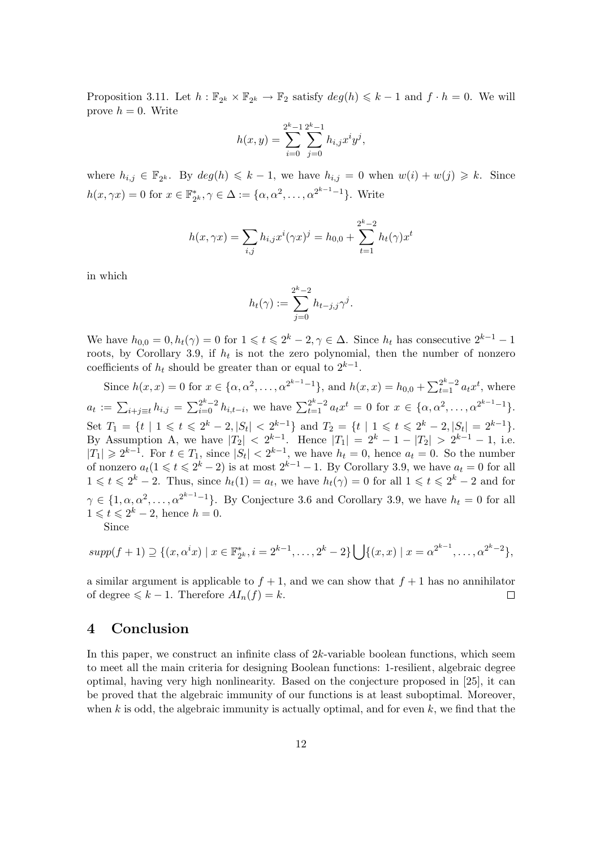Proposition 3.11. Let  $h : \mathbb{F}_{2^k} \times \mathbb{F}_{2^k} \to \mathbb{F}_2$  satisfy  $deg(h) \leq k - 1$  and  $f \cdot h = 0$ . We will prove  $h = 0$ . Write

$$
h(x,y) = \sum_{i=0}^{2^{k}-1} \sum_{j=0}^{2^{k}-1} h_{i,j} x^{i} y^{j},
$$

where  $h_{i,j} \in \mathbb{F}_{2^k}$ . By  $deg(h) \leq k-1$ , we have  $h_{i,j} = 0$  when  $w(i) + w(j) \geq k$ . Since  $h(x, \gamma x) = 0$  for  $x \in \mathbb{F}_2^*$  $C_{2^k}^*, \gamma \in \Delta := \{ \alpha, \alpha^2, \dots, \alpha^{2^{k-1}-1} \}.$  Write

$$
h(x, \gamma x) = \sum_{i,j} h_{i,j} x^{i} (\gamma x)^{j} = h_{0,0} + \sum_{t=1}^{2^{k}-2} h_{t}(\gamma) x^{t}
$$

in which

$$
h_t(\gamma) := \sum_{j=0}^{2^k-2} h_{t-j,j} \gamma^j.
$$

We have  $h_{0,0} = 0, h_t(\gamma) = 0$  for  $1 \leq t \leq 2^k - 2, \gamma \in \Delta$ . Since  $h_t$  has consecutive  $2^{k-1} - 1$ roots, by Corollary 3.9, if  $h_t$  is not the zero polynomial, then the number of nonzero coefficients of  $h_t$  should be greater than or equal to  $2^{k-1}$ .

Since  $h(x, x) = 0$  for  $x \in \{\alpha, \alpha^2, \dots, \alpha^{2^{k-1}-1}\}\$ , and  $h(x, x) = h_{0,0} + \sum_{t=1}^{2^k-2} a_t x^t$ , where  $a_t := \sum_{i+j \equiv t} h_{i,j} = \sum_{i=0}^{2^k-2} h_{i,t-i}$ , we have  $\sum_{t=1}^{2^k-2} a_t x^t = 0$  for  $x \in {\alpha, \alpha^2, ..., \alpha^{2^{k-1}-1}}$ . Set  $T_1 = \{t \mid 1 \leq t \leq 2^k - 2, |S_t| < 2^{k-1}\}\$ and  $T_2 = \{t \mid 1 \leq t \leq 2^k - 2, |S_t| = 2^{k-1}\}.$ By Assumption A, we have  $|T_2| < 2^{k-1}$ . Hence  $|T_1| = 2^k - 1 - |T_2| > 2^{k-1} - 1$ , i.e.  $|T_1| \geq 2^{k-1}$ . For  $t \in T_1$ , since  $|S_t| < 2^{k-1}$ , we have  $h_t = 0$ , hence  $a_t = 0$ . So the number of nonzero  $a_t(1 \leq t \leq 2^k-2)$  is at most  $2^{k-1}-1$ . By Corollary 3.9, we have  $a_t = 0$  for all  $1 \leq t \leq 2^{k} - 2$ . Thus, since  $h_t(1) = a_t$ , we have  $h_t(\gamma) = 0$  for all  $1 \leq t \leq 2^{k} - 2$  and for  $\gamma \in \{1, \alpha, \alpha^2, \ldots, \alpha^{2^{k-1}-1}\}.$  By Conjecture 3.6 and Corollary 3.9, we have  $h_t = 0$  for all  $1 \leqslant t \leqslant 2^k - 2$ , hence  $h = 0$ . Since

$$
supp(f+1) \supseteq \{(x,\alpha^i x) \mid x \in \mathbb{F}_{2^k}^*, i = 2^{k-1}, \dots, 2^k - 2\} \bigcup \{(x,x) \mid x = \alpha^{2^{k-1}}, \dots, \alpha^{2^k - 2}\},
$$

a similar argument is applicable to  $f + 1$ , and we can show that  $f + 1$  has no annihilator of degree  $\leq k - 1$ . Therefore  $AI_n(f) = k$ .  $\Box$ 

### 4 Conclusion

In this paper, we construct an infinite class of  $2k$ -variable boolean functions, which seem to meet all the main criteria for designing Boolean functions: 1-resilient, algebraic degree optimal, having very high nonlinearity. Based on the conjecture proposed in [25], it can be proved that the algebraic immunity of our functions is at least suboptimal. Moreover, when k is odd, the algebraic immunity is actually optimal, and for even  $k$ , we find that the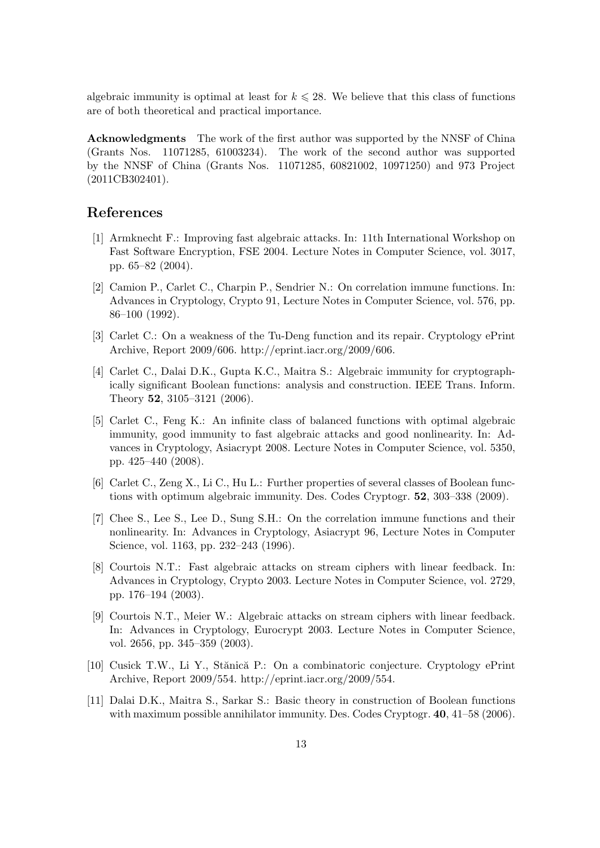algebraic immunity is optimal at least for  $k \le 28$ . We believe that this class of functions are of both theoretical and practical importance.

Acknowledgments The work of the first author was supported by the NNSF of China (Grants Nos. 11071285, 61003234). The work of the second author was supported by the NNSF of China (Grants Nos. 11071285, 60821002, 10971250) and 973 Project (2011CB302401).

# References

- [1] Armknecht F.: Improving fast algebraic attacks. In: 11th International Workshop on Fast Software Encryption, FSE 2004. Lecture Notes in Computer Science, vol. 3017, pp. 65–82 (2004).
- [2] Camion P., Carlet C., Charpin P., Sendrier N.: On correlation immune functions. In: Advances in Cryptology, Crypto 91, Lecture Notes in Computer Science, vol. 576, pp. 86–100 (1992).
- [3] Carlet C.: On a weakness of the Tu-Deng function and its repair. Cryptology ePrint Archive, Report 2009/606. http://eprint.iacr.org/2009/606.
- [4] Carlet C., Dalai D.K., Gupta K.C., Maitra S.: Algebraic immunity for cryptographically significant Boolean functions: analysis and construction. IEEE Trans. Inform. Theory 52, 3105–3121 (2006).
- [5] Carlet C., Feng K.: An infinite class of balanced functions with optimal algebraic immunity, good immunity to fast algebraic attacks and good nonlinearity. In: Advances in Cryptology, Asiacrypt 2008. Lecture Notes in Computer Science, vol. 5350, pp. 425–440 (2008).
- [6] Carlet C., Zeng X., Li C., Hu L.: Further properties of several classes of Boolean functions with optimum algebraic immunity. Des. Codes Cryptogr. 52, 303–338 (2009).
- [7] Chee S., Lee S., Lee D., Sung S.H.: On the correlation immune functions and their nonlinearity. In: Advances in Cryptology, Asiacrypt 96, Lecture Notes in Computer Science, vol. 1163, pp. 232–243 (1996).
- [8] Courtois N.T.: Fast algebraic attacks on stream ciphers with linear feedback. In: Advances in Cryptology, Crypto 2003. Lecture Notes in Computer Science, vol. 2729, pp. 176–194 (2003).
- [9] Courtois N.T., Meier W.: Algebraic attacks on stream ciphers with linear feedback. In: Advances in Cryptology, Eurocrypt 2003. Lecture Notes in Computer Science, vol. 2656, pp. 345–359 (2003).
- [10] Cusick T.W., Li Y., Stănică P.: On a combinatoric conjecture. Cryptology ePrint Archive, Report 2009/554. http://eprint.iacr.org/2009/554.
- [11] Dalai D.K., Maitra S., Sarkar S.: Basic theory in construction of Boolean functions with maximum possible annihilator immunity. Des. Codes Cryptogr. **40**, 41–58 (2006).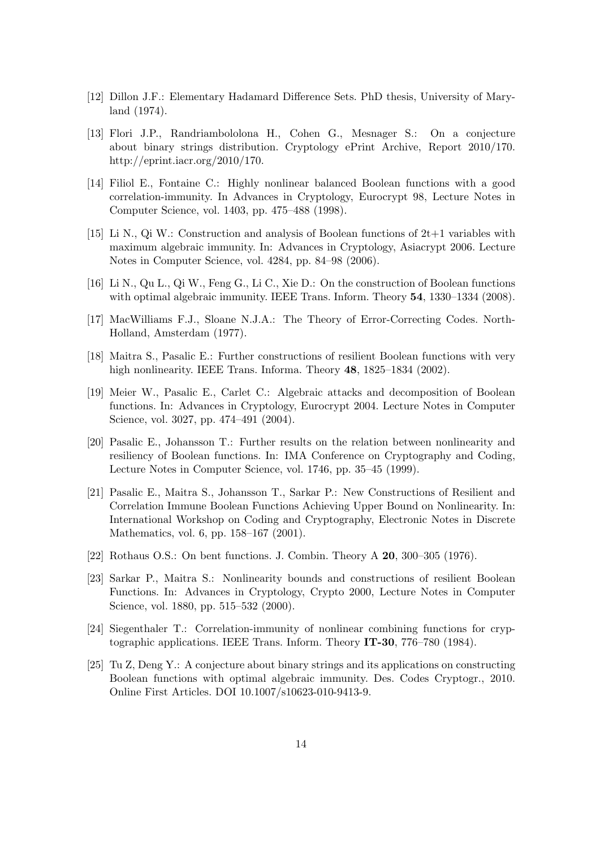- [12] Dillon J.F.: Elementary Hadamard Difference Sets. PhD thesis, University of Maryland (1974).
- [13] Flori J.P., Randriambololona H., Cohen G., Mesnager S.: On a conjecture about binary strings distribution. Cryptology ePrint Archive, Report 2010/170. http://eprint.iacr.org/2010/170.
- [14] Filiol E., Fontaine C.: Highly nonlinear balanced Boolean functions with a good correlation-immunity. In Advances in Cryptology, Eurocrypt 98, Lecture Notes in Computer Science, vol. 1403, pp. 475–488 (1998).
- [15] Li N., Qi W.: Construction and analysis of Boolean functions of 2t+1 variables with maximum algebraic immunity. In: Advances in Cryptology, Asiacrypt 2006. Lecture Notes in Computer Science, vol. 4284, pp. 84–98 (2006).
- [16] Li N., Qu L., Qi W., Feng G., Li C., Xie D.: On the construction of Boolean functions with optimal algebraic immunity. IEEE Trans. Inform. Theory 54, 1330–1334 (2008).
- [17] MacWilliams F.J., Sloane N.J.A.: The Theory of Error-Correcting Codes. North-Holland, Amsterdam (1977).
- [18] Maitra S., Pasalic E.: Further constructions of resilient Boolean functions with very high nonlinearity. IEEE Trans. Informa. Theory 48, 1825–1834 (2002).
- [19] Meier W., Pasalic E., Carlet C.: Algebraic attacks and decomposition of Boolean functions. In: Advances in Cryptology, Eurocrypt 2004. Lecture Notes in Computer Science, vol. 3027, pp. 474–491 (2004).
- [20] Pasalic E., Johansson T.: Further results on the relation between nonlinearity and resiliency of Boolean functions. In: IMA Conference on Cryptography and Coding, Lecture Notes in Computer Science, vol. 1746, pp. 35–45 (1999).
- [21] Pasalic E., Maitra S., Johansson T., Sarkar P.: New Constructions of Resilient and Correlation Immune Boolean Functions Achieving Upper Bound on Nonlinearity. In: International Workshop on Coding and Cryptography, Electronic Notes in Discrete Mathematics, vol. 6, pp. 158–167 (2001).
- [22] Rothaus O.S.: On bent functions. J. Combin. Theory A 20, 300–305 (1976).
- [23] Sarkar P., Maitra S.: Nonlinearity bounds and constructions of resilient Boolean Functions. In: Advances in Cryptology, Crypto 2000, Lecture Notes in Computer Science, vol. 1880, pp. 515–532 (2000).
- [24] Siegenthaler T.: Correlation-immunity of nonlinear combining functions for cryptographic applications. IEEE Trans. Inform. Theory IT-30, 776–780 (1984).
- [25] Tu Z, Deng Y.: A conjecture about binary strings and its applications on constructing Boolean functions with optimal algebraic immunity. Des. Codes Cryptogr., 2010. Online First Articles. DOI 10.1007/s10623-010-9413-9.